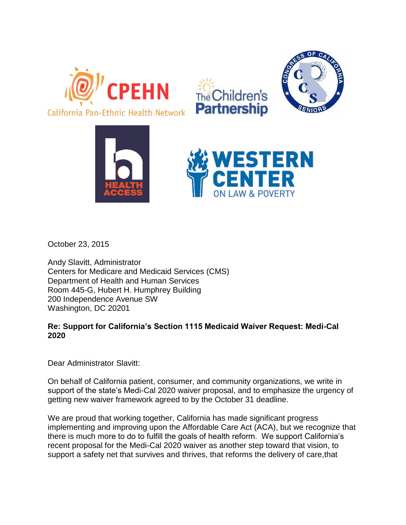





October 23, 2015

Andy Slavitt, Administrator Centers for Medicare and Medicaid Services (CMS) Department of Health and Human Services Room 445-G, Hubert H. Humphrey Building 200 Independence Avenue SW Washington, DC 20201

## **Re: Support for California's Section 1115 Medicaid Waiver Request: Medi-Cal 2020**

Dear Administrator Slavitt:

On behalf of California patient, consumer, and community organizations, we write in support of the state's Medi-Cal 2020 waiver proposal, and to emphasize the urgency of getting new waiver framework agreed to by the October 31 deadline.

We are proud that working together, California has made significant progress implementing and improving upon the Affordable Care Act (ACA), but we recognize that there is much more to do to fulfill the goals of health reform. We support California's recent proposal for the Medi-Cal 2020 waiver as another step toward that vision, to support a safety net that survives and thrives, that reforms the delivery of care,that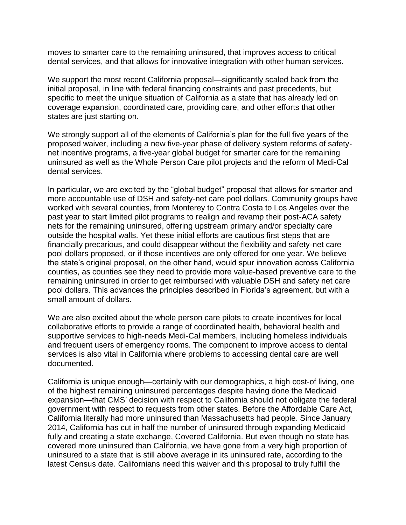moves to smarter care to the remaining uninsured, that improves access to critical dental services, and that allows for innovative integration with other human services.

We support the most recent California proposal—significantly scaled back from the initial proposal, in line with federal financing constraints and past precedents, but specific to meet the unique situation of California as a state that has already led on coverage expansion, coordinated care, providing care, and other efforts that other states are just starting on.

We strongly support all of the elements of California's plan for the full five years of the proposed waiver, including a new five-year phase of delivery system reforms of safetynet incentive programs, a five-year global budget for smarter care for the remaining uninsured as well as the Whole Person Care pilot projects and the reform of Medi-Cal dental services.

In particular, we are excited by the "global budget" proposal that allows for smarter and more accountable use of DSH and safety-net care pool dollars. Community groups have worked with several counties, from Monterey to Contra Costa to Los Angeles over the past year to start limited pilot programs to realign and revamp their post-ACA safety nets for the remaining uninsured, offering upstream primary and/or specialty care outside the hospital walls. Yet these initial efforts are cautious first steps that are financially precarious, and could disappear without the flexibility and safety-net care pool dollars proposed, or if those incentives are only offered for one year. We believe the state's original proposal, on the other hand, would spur innovation across California counties, as counties see they need to provide more value-based preventive care to the remaining uninsured in order to get reimbursed with valuable DSH and safety net care pool dollars. This advances the principles described in Florida's agreement, but with a small amount of dollars.

We are also excited about the whole person care pilots to create incentives for local collaborative efforts to provide a range of coordinated health, behavioral health and supportive services to high-needs Medi-Cal members, including homeless individuals and frequent users of emergency rooms. The component to improve access to dental services is also vital in California where problems to accessing dental care are well documented.

California is unique enough—certainly with our demographics, a high cost-of living, one of the highest remaining uninsured percentages despite having done the Medicaid expansion—that CMS' decision with respect to California should not obligate the federal government with respect to requests from other states. Before the Affordable Care Act, California literally had more uninsured than Massachusetts had people. Since January 2014, California has cut in half the number of uninsured through expanding Medicaid fully and creating a state exchange, Covered California. But even though no state has covered more uninsured than California, we have gone from a very high proportion of uninsured to a state that is still above average in its uninsured rate, according to the latest Census date. Californians need this waiver and this proposal to truly fulfill the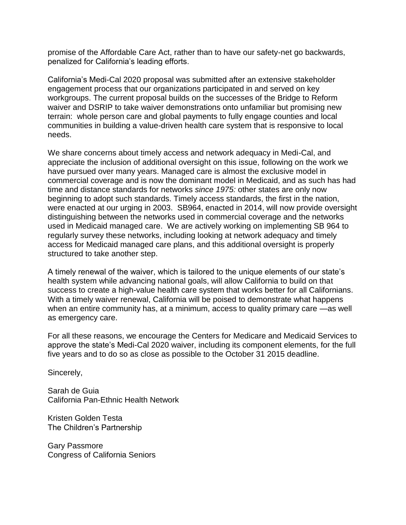promise of the Affordable Care Act, rather than to have our safety-net go backwards, penalized for California's leading efforts.

California's Medi-Cal 2020 proposal was submitted after an extensive stakeholder engagement process that our organizations participated in and served on key workgroups. The current proposal builds on the successes of the Bridge to Reform waiver and DSRIP to take waiver demonstrations onto unfamiliar but promising new terrain: whole person care and global payments to fully engage counties and local communities in building a value-driven health care system that is responsive to local needs.

We share concerns about timely access and network adequacy in Medi-Cal, and appreciate the inclusion of additional oversight on this issue, following on the work we have pursued over many years. Managed care is almost the exclusive model in commercial coverage and is now the dominant model in Medicaid, and as such has had time and distance standards for networks *since 1975:* other states are only now beginning to adopt such standards. Timely access standards, the first in the nation, were enacted at our urging in 2003. SB964, enacted in 2014, will now provide oversight distinguishing between the networks used in commercial coverage and the networks used in Medicaid managed care. We are actively working on implementing SB 964 to regularly survey these networks, including looking at network adequacy and timely access for Medicaid managed care plans, and this additional oversight is properly structured to take another step.

A timely renewal of the waiver, which is tailored to the unique elements of our state's health system while advancing national goals, will allow California to build on that success to create a high-value health care system that works better for all Californians. With a timely waiver renewal, California will be poised to demonstrate what happens when an entire community has, at a minimum, access to quality primary care —as well as emergency care.

For all these reasons, we encourage the Centers for Medicare and Medicaid Services to approve the state's Medi-Cal 2020 waiver, including its component elements, for the full five years and to do so as close as possible to the October 31 2015 deadline.

Sincerely,

Sarah de Guia California Pan-Ethnic Health Network

Kristen Golden Testa The Children's Partnership

Gary Passmore Congress of California Seniors